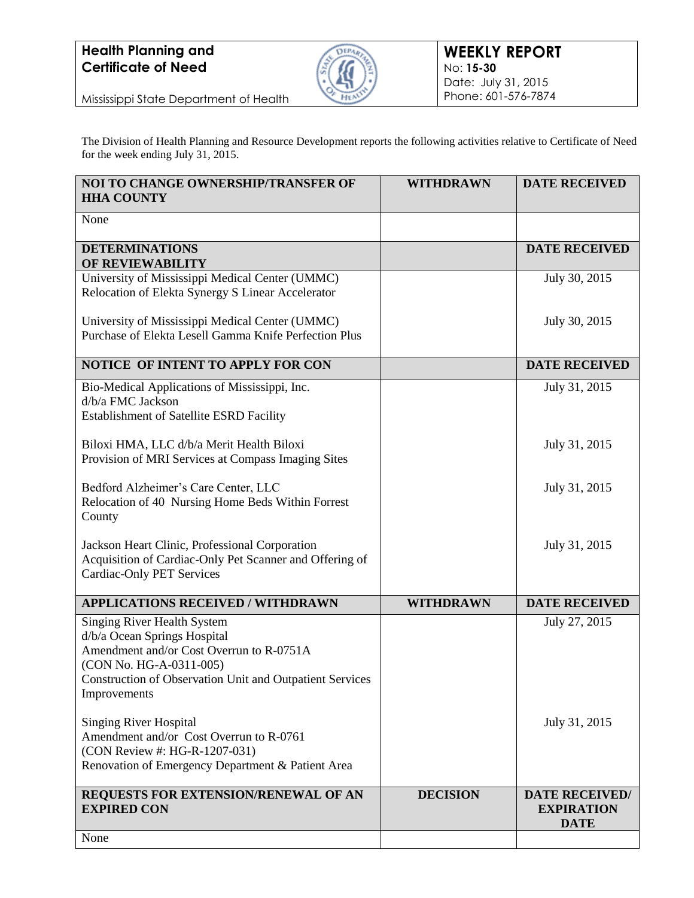

Mississippi State Department of Health

The Division of Health Planning and Resource Development reports the following activities relative to Certificate of Need for the week ending July 31, 2015.

| NOI TO CHANGE OWNERSHIP/TRANSFER OF<br><b>HHA COUNTY</b>                                                                                                                                                                     | <b>WITHDRAWN</b> | <b>DATE RECEIVED</b>                                      |
|------------------------------------------------------------------------------------------------------------------------------------------------------------------------------------------------------------------------------|------------------|-----------------------------------------------------------|
| None                                                                                                                                                                                                                         |                  |                                                           |
| <b>DETERMINATIONS</b><br>OF REVIEWABILITY                                                                                                                                                                                    |                  | <b>DATE RECEIVED</b>                                      |
| University of Mississippi Medical Center (UMMC)<br>Relocation of Elekta Synergy S Linear Accelerator                                                                                                                         |                  | July 30, 2015                                             |
| University of Mississippi Medical Center (UMMC)<br>Purchase of Elekta Lesell Gamma Knife Perfection Plus                                                                                                                     |                  | July 30, 2015                                             |
| NOTICE OF INTENT TO APPLY FOR CON                                                                                                                                                                                            |                  | <b>DATE RECEIVED</b>                                      |
| Bio-Medical Applications of Mississippi, Inc.<br>d/b/a FMC Jackson<br><b>Establishment of Satellite ESRD Facility</b>                                                                                                        |                  | July 31, 2015                                             |
| Biloxi HMA, LLC d/b/a Merit Health Biloxi<br>Provision of MRI Services at Compass Imaging Sites                                                                                                                              |                  | July 31, 2015                                             |
| Bedford Alzheimer's Care Center, LLC<br>Relocation of 40 Nursing Home Beds Within Forrest<br>County                                                                                                                          |                  | July 31, 2015                                             |
| Jackson Heart Clinic, Professional Corporation<br>Acquisition of Cardiac-Only Pet Scanner and Offering of<br><b>Cardiac-Only PET Services</b>                                                                                |                  | July 31, 2015                                             |
| <b>APPLICATIONS RECEIVED / WITHDRAWN</b>                                                                                                                                                                                     | <b>WITHDRAWN</b> | <b>DATE RECEIVED</b>                                      |
| <b>Singing River Health System</b><br>d/b/a Ocean Springs Hospital<br>Amendment and/or Cost Overrun to R-0751A<br>(CON No. HG-A-0311-005)<br><b>Construction of Observation Unit and Outpatient Services</b><br>Improvements |                  | July 27, 2015                                             |
| <b>Singing River Hospital</b><br>Amendment and/or Cost Overrun to R-0761<br>(CON Review #: HG-R-1207-031)<br>Renovation of Emergency Department & Patient Area                                                               |                  | July 31, 2015                                             |
| REQUESTS FOR EXTENSION/RENEWAL OF AN<br><b>EXPIRED CON</b>                                                                                                                                                                   | <b>DECISION</b>  | <b>DATE RECEIVED/</b><br><b>EXPIRATION</b><br><b>DATE</b> |
| None                                                                                                                                                                                                                         |                  |                                                           |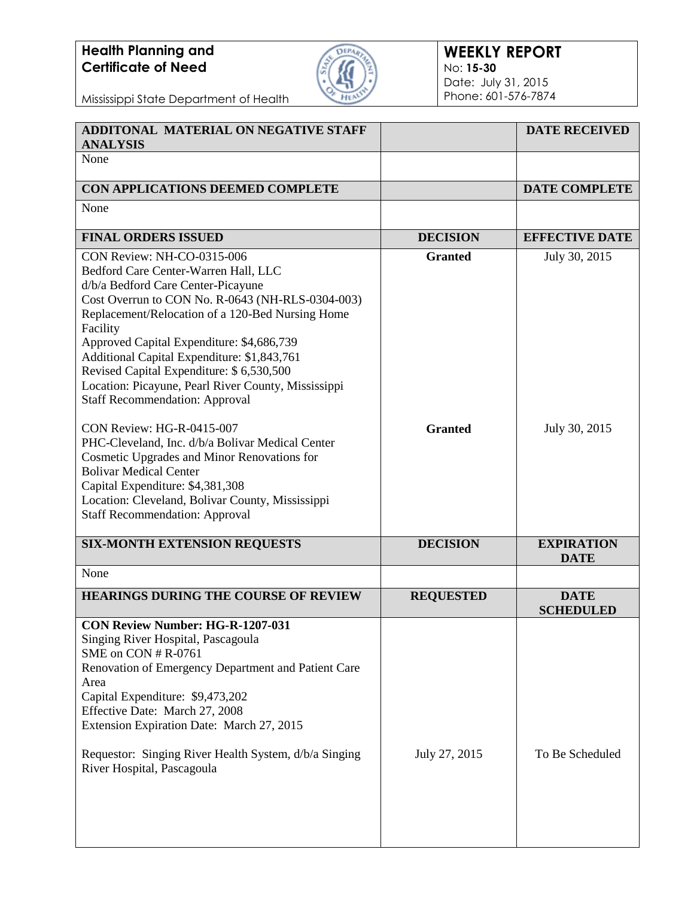

### **WEEKLY REPORT** No: **15-30** Date: July 31, 2015 Phone: 601-576-7874

| ADDITONAL MATERIAL ON NEGATIVE STAFF<br><b>ANALYSIS</b>                                                                                                                                                                                                                                                                                                                                                                                                                                                                                                                                                                                                                                                                        |                                  | <b>DATE RECEIVED</b>             |
|--------------------------------------------------------------------------------------------------------------------------------------------------------------------------------------------------------------------------------------------------------------------------------------------------------------------------------------------------------------------------------------------------------------------------------------------------------------------------------------------------------------------------------------------------------------------------------------------------------------------------------------------------------------------------------------------------------------------------------|----------------------------------|----------------------------------|
| None                                                                                                                                                                                                                                                                                                                                                                                                                                                                                                                                                                                                                                                                                                                           |                                  |                                  |
| CON APPLICATIONS DEEMED COMPLETE                                                                                                                                                                                                                                                                                                                                                                                                                                                                                                                                                                                                                                                                                               |                                  | <b>DATE COMPLETE</b>             |
| None                                                                                                                                                                                                                                                                                                                                                                                                                                                                                                                                                                                                                                                                                                                           |                                  |                                  |
| <b>FINAL ORDERS ISSUED</b>                                                                                                                                                                                                                                                                                                                                                                                                                                                                                                                                                                                                                                                                                                     | <b>DECISION</b>                  | <b>EFFECTIVE DATE</b>            |
| CON Review: NH-CO-0315-006<br>Bedford Care Center-Warren Hall, LLC<br>d/b/a Bedford Care Center-Picayune<br>Cost Overrun to CON No. R-0643 (NH-RLS-0304-003)<br>Replacement/Relocation of a 120-Bed Nursing Home<br>Facility<br>Approved Capital Expenditure: \$4,686,739<br>Additional Capital Expenditure: \$1,843,761<br>Revised Capital Expenditure: \$ 6,530,500<br>Location: Picayune, Pearl River County, Mississippi<br><b>Staff Recommendation: Approval</b><br>CON Review: HG-R-0415-007<br>PHC-Cleveland, Inc. d/b/a Bolivar Medical Center<br>Cosmetic Upgrades and Minor Renovations for<br><b>Bolivar Medical Center</b><br>Capital Expenditure: \$4,381,308<br>Location: Cleveland, Bolivar County, Mississippi | <b>Granted</b><br><b>Granted</b> | July 30, 2015<br>July 30, 2015   |
| <b>Staff Recommendation: Approval</b>                                                                                                                                                                                                                                                                                                                                                                                                                                                                                                                                                                                                                                                                                          |                                  |                                  |
| <b>SIX-MONTH EXTENSION REQUESTS</b>                                                                                                                                                                                                                                                                                                                                                                                                                                                                                                                                                                                                                                                                                            | <b>DECISION</b>                  | <b>EXPIRATION</b><br><b>DATE</b> |
| None                                                                                                                                                                                                                                                                                                                                                                                                                                                                                                                                                                                                                                                                                                                           |                                  |                                  |
| <b>HEARINGS DURING THE COURSE OF REVIEW</b>                                                                                                                                                                                                                                                                                                                                                                                                                                                                                                                                                                                                                                                                                    | <b>REQUESTED</b>                 | <b>DATE</b><br><b>SCHEDULED</b>  |
| <b>CON Review Number: HG-R-1207-031</b><br>Singing River Hospital, Pascagoula<br>SME on CON # R-0761<br>Renovation of Emergency Department and Patient Care<br>Area<br>Capital Expenditure: \$9,473,202<br>Effective Date: March 27, 2008<br>Extension Expiration Date: March 27, 2015<br>Requestor: Singing River Health System, d/b/a Singing<br>River Hospital, Pascagoula                                                                                                                                                                                                                                                                                                                                                  | July 27, 2015                    | To Be Scheduled                  |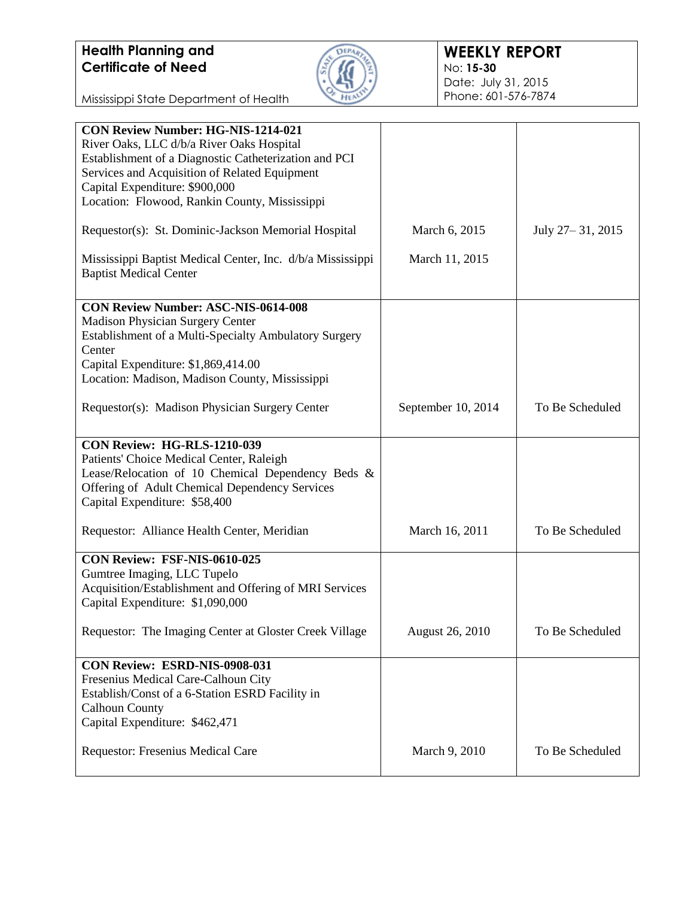

| <b>CON Review Number: HG-NIS-1214-021</b><br>River Oaks, LLC d/b/a River Oaks Hospital<br>Establishment of a Diagnostic Catheterization and PCI<br>Services and Acquisition of Related Equipment<br>Capital Expenditure: \$900,000<br>Location: Flowood, Rankin County, Mississippi |                        |                    |
|-------------------------------------------------------------------------------------------------------------------------------------------------------------------------------------------------------------------------------------------------------------------------------------|------------------------|--------------------|
| Requestor(s): St. Dominic-Jackson Memorial Hospital                                                                                                                                                                                                                                 | March 6, 2015          | July 27 – 31, 2015 |
| Mississippi Baptist Medical Center, Inc. d/b/a Mississippi<br><b>Baptist Medical Center</b>                                                                                                                                                                                         | March 11, 2015         |                    |
| <b>CON Review Number: ASC-NIS-0614-008</b><br><b>Madison Physician Surgery Center</b>                                                                                                                                                                                               |                        |                    |
| Establishment of a Multi-Specialty Ambulatory Surgery                                                                                                                                                                                                                               |                        |                    |
| Center<br>Capital Expenditure: \$1,869,414.00                                                                                                                                                                                                                                       |                        |                    |
| Location: Madison, Madison County, Mississippi                                                                                                                                                                                                                                      |                        |                    |
| Requestor(s): Madison Physician Surgery Center                                                                                                                                                                                                                                      | September 10, 2014     | To Be Scheduled    |
| CON Review: HG-RLS-1210-039<br>Patients' Choice Medical Center, Raleigh<br>Lease/Relocation of 10 Chemical Dependency Beds &<br>Offering of Adult Chemical Dependency Services<br>Capital Expenditure: \$58,400                                                                     |                        |                    |
| Requestor: Alliance Health Center, Meridian                                                                                                                                                                                                                                         | March 16, 2011         | To Be Scheduled    |
| CON Review: FSF-NIS-0610-025<br>Gumtree Imaging, LLC Tupelo<br>Acquisition/Establishment and Offering of MRI Services<br>Capital Expenditure: \$1,090,000                                                                                                                           |                        |                    |
| Requestor: The Imaging Center at Gloster Creek Village                                                                                                                                                                                                                              | <b>August 26, 2010</b> | To Be Scheduled    |
| <b>CON Review: ESRD-NIS-0908-031</b><br>Fresenius Medical Care-Calhoun City<br>Establish/Const of a 6-Station ESRD Facility in                                                                                                                                                      |                        |                    |
| <b>Calhoun County</b><br>Capital Expenditure: \$462,471                                                                                                                                                                                                                             |                        |                    |
| Requestor: Fresenius Medical Care                                                                                                                                                                                                                                                   | March 9, 2010          | To Be Scheduled    |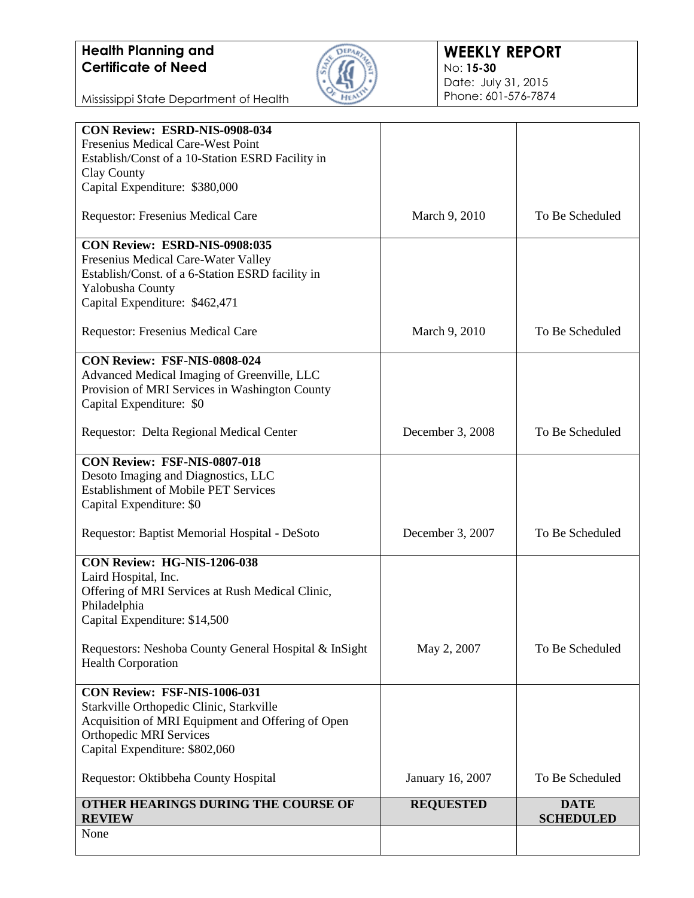

### **WEEKLY REPORT** No: **15-30** Date: July 31, 2015 Phone: 601-576-7874

| Fresenius Medical Care-West Point<br>Establish/Const of a 10-Station ESRD Facility in<br>Clay County<br>Capital Expenditure: \$380,000<br>Requestor: Fresenius Medical Care<br>CON Review: ESRD-NIS-0908:035<br>Fresenius Medical Care-Water Valley<br>Establish/Const. of a 6-Station ESRD facility in<br>Yalobusha County<br>Capital Expenditure: \$462,471<br>Requestor: Fresenius Medical Care<br>CON Review: FSF-NIS-0808-024 | March 9, 2010<br>March 9, 2010 |                                 |
|------------------------------------------------------------------------------------------------------------------------------------------------------------------------------------------------------------------------------------------------------------------------------------------------------------------------------------------------------------------------------------------------------------------------------------|--------------------------------|---------------------------------|
|                                                                                                                                                                                                                                                                                                                                                                                                                                    |                                |                                 |
|                                                                                                                                                                                                                                                                                                                                                                                                                                    |                                |                                 |
|                                                                                                                                                                                                                                                                                                                                                                                                                                    |                                |                                 |
|                                                                                                                                                                                                                                                                                                                                                                                                                                    |                                | To Be Scheduled                 |
|                                                                                                                                                                                                                                                                                                                                                                                                                                    |                                | To Be Scheduled                 |
|                                                                                                                                                                                                                                                                                                                                                                                                                                    |                                |                                 |
|                                                                                                                                                                                                                                                                                                                                                                                                                                    |                                |                                 |
|                                                                                                                                                                                                                                                                                                                                                                                                                                    |                                |                                 |
|                                                                                                                                                                                                                                                                                                                                                                                                                                    |                                |                                 |
|                                                                                                                                                                                                                                                                                                                                                                                                                                    |                                |                                 |
|                                                                                                                                                                                                                                                                                                                                                                                                                                    |                                |                                 |
|                                                                                                                                                                                                                                                                                                                                                                                                                                    |                                |                                 |
| Advanced Medical Imaging of Greenville, LLC                                                                                                                                                                                                                                                                                                                                                                                        |                                |                                 |
| Provision of MRI Services in Washington County                                                                                                                                                                                                                                                                                                                                                                                     |                                |                                 |
| Capital Expenditure: \$0                                                                                                                                                                                                                                                                                                                                                                                                           |                                |                                 |
|                                                                                                                                                                                                                                                                                                                                                                                                                                    |                                |                                 |
| Requestor: Delta Regional Medical Center                                                                                                                                                                                                                                                                                                                                                                                           | December 3, 2008               | To Be Scheduled                 |
| CON Review: FSF-NIS-0807-018                                                                                                                                                                                                                                                                                                                                                                                                       |                                |                                 |
| Desoto Imaging and Diagnostics, LLC                                                                                                                                                                                                                                                                                                                                                                                                |                                |                                 |
| <b>Establishment of Mobile PET Services</b>                                                                                                                                                                                                                                                                                                                                                                                        |                                |                                 |
| Capital Expenditure: \$0                                                                                                                                                                                                                                                                                                                                                                                                           |                                |                                 |
|                                                                                                                                                                                                                                                                                                                                                                                                                                    |                                | To Be Scheduled                 |
| Requestor: Baptist Memorial Hospital - DeSoto                                                                                                                                                                                                                                                                                                                                                                                      | December 3, 2007               |                                 |
| CON Review: HG-NIS-1206-038                                                                                                                                                                                                                                                                                                                                                                                                        |                                |                                 |
| Laird Hospital, Inc.                                                                                                                                                                                                                                                                                                                                                                                                               |                                |                                 |
| Offering of MRI Services at Rush Medical Clinic,                                                                                                                                                                                                                                                                                                                                                                                   |                                |                                 |
| Philadelphia                                                                                                                                                                                                                                                                                                                                                                                                                       |                                |                                 |
| Capital Expenditure: \$14,500                                                                                                                                                                                                                                                                                                                                                                                                      |                                |                                 |
| Requestors: Neshoba County General Hospital & InSight                                                                                                                                                                                                                                                                                                                                                                              | May 2, 2007                    | To Be Scheduled                 |
| <b>Health Corporation</b>                                                                                                                                                                                                                                                                                                                                                                                                          |                                |                                 |
| CON Review: FSF-NIS-1006-031                                                                                                                                                                                                                                                                                                                                                                                                       |                                |                                 |
| Starkville Orthopedic Clinic, Starkville                                                                                                                                                                                                                                                                                                                                                                                           |                                |                                 |
| Acquisition of MRI Equipment and Offering of Open                                                                                                                                                                                                                                                                                                                                                                                  |                                |                                 |
| <b>Orthopedic MRI Services</b>                                                                                                                                                                                                                                                                                                                                                                                                     |                                |                                 |
| Capital Expenditure: \$802,060                                                                                                                                                                                                                                                                                                                                                                                                     |                                |                                 |
| Requestor: Oktibbeha County Hospital                                                                                                                                                                                                                                                                                                                                                                                               | January 16, 2007               | To Be Scheduled                 |
| OTHER HEARINGS DURING THE COURSE OF<br><b>REVIEW</b>                                                                                                                                                                                                                                                                                                                                                                               | <b>REQUESTED</b>               | <b>DATE</b><br><b>SCHEDULED</b> |